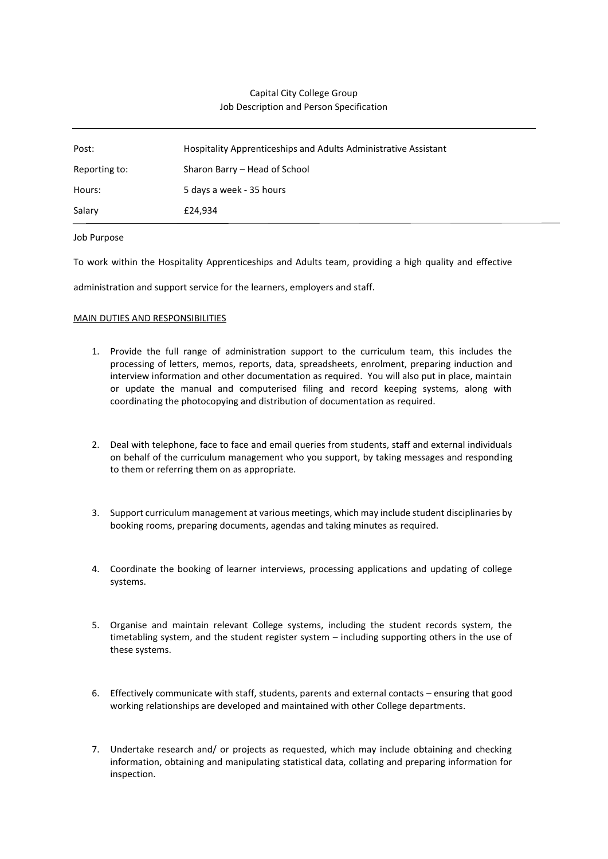# Capital City College Group Job Description and Person Specification

| Post:         | Hospitality Apprenticeships and Adults Administrative Assistant |
|---------------|-----------------------------------------------------------------|
| Reporting to: | Sharon Barry – Head of School                                   |
| Hours:        | 5 days a week - 35 hours                                        |
| Salary        | £24,934                                                         |

### Job Purpose

To work within the Hospitality Apprenticeships and Adults team, providing a high quality and effective

administration and support service for the learners, employers and staff.

### MAIN DUTIES AND RESPONSIBILITIES

- 1. Provide the full range of administration support to the curriculum team, this includes the processing of letters, memos, reports, data, spreadsheets, enrolment, preparing induction and interview information and other documentation as required. You will also put in place, maintain or update the manual and computerised filing and record keeping systems, along with coordinating the photocopying and distribution of documentation as required.
- 2. Deal with telephone, face to face and email queries from students, staff and external individuals on behalf of the curriculum management who you support, by taking messages and responding to them or referring them on as appropriate.
- 3. Support curriculum management at various meetings, which may include student disciplinaries by booking rooms, preparing documents, agendas and taking minutes as required.
- 4. Coordinate the booking of learner interviews, processing applications and updating of college systems.
- 5. Organise and maintain relevant College systems, including the student records system, the timetabling system, and the student register system – including supporting others in the use of these systems.
- 6. Effectively communicate with staff, students, parents and external contacts ensuring that good working relationships are developed and maintained with other College departments.
- 7. Undertake research and/ or projects as requested, which may include obtaining and checking information, obtaining and manipulating statistical data, collating and preparing information for inspection.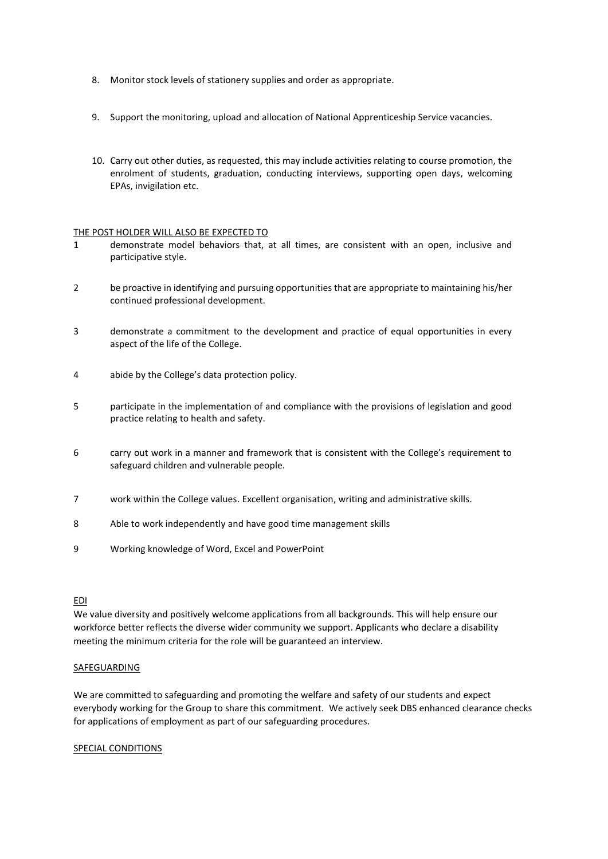- 8. Monitor stock levels of stationery supplies and order as appropriate.
- 9. Support the monitoring, upload and allocation of National Apprenticeship Service vacancies.
- 10. Carry out other duties, as requested, this may include activities relating to course promotion, the enrolment of students, graduation, conducting interviews, supporting open days, welcoming EPAs, invigilation etc.

# THE POST HOLDER WILL ALSO BE EXPECTED TO

- 1 demonstrate model behaviors that, at all times, are consistent with an open, inclusive and participative style.
- 2 be proactive in identifying and pursuing opportunities that are appropriate to maintaining his/her continued professional development.
- 3 demonstrate a commitment to the development and practice of equal opportunities in every aspect of the life of the College.
- 4 abide by the College's data protection policy.
- 5 participate in the implementation of and compliance with the provisions of legislation and good practice relating to health and safety.
- 6 carry out work in a manner and framework that is consistent with the College's requirement to safeguard children and vulnerable people.
- 7 work within the College values. Excellent organisation, writing and administrative skills.
- 8 Able to work independently and have good time management skills
- 9 Working knowledge of Word, Excel and PowerPoint

#### EDI

We value diversity and positively welcome applications from all backgrounds. This will help ensure our workforce better reflects the diverse wider community we support. Applicants who declare a disability meeting the minimum criteria for the role will be guaranteed an interview.

# SAFEGUARDING

We are committed to safeguarding and promoting the welfare and safety of our students and expect everybody working for the Group to share this commitment. We actively seek DBS enhanced clearance checks for applications of employment as part of our safeguarding procedures.

#### SPECIAL CONDITIONS